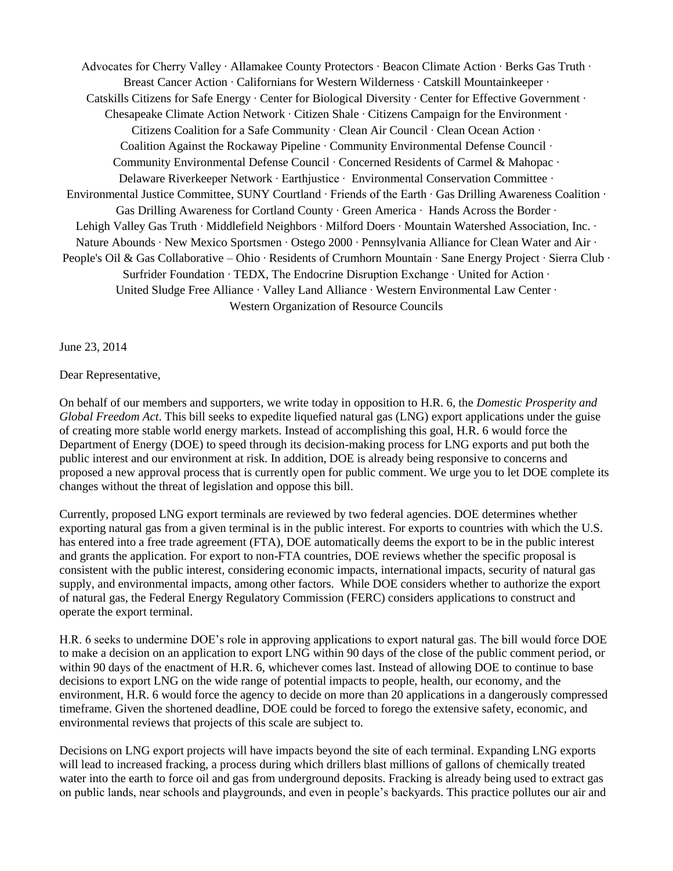Advocates for Cherry Valley ∙ Allamakee County Protectors ∙ Beacon Climate Action ∙ Berks Gas Truth ∙ Breast Cancer Action ∙ Californians for Western Wilderness ∙ Catskill Mountainkeeper ∙ Catskills Citizens for Safe Energy ∙ Center for Biological Diversity ∙ Center for Effective Government ∙ Chesapeake Climate Action Network ∙ Citizen Shale ∙ Citizens Campaign for the Environment ∙ Citizens Coalition for a Safe Community ∙ Clean Air Council ∙ Clean Ocean Action ∙ Coalition Against the Rockaway Pipeline ∙ Community Environmental Defense Council ∙ Community Environmental Defense Council ∙ Concerned Residents of Carmel & Mahopac ∙ Delaware Riverkeeper Network ∙ Earthjustice ∙ Environmental Conservation Committee ∙ Environmental Justice Committee, SUNY Courtland ∙ Friends of the Earth ∙ Gas Drilling Awareness Coalition ∙ Gas Drilling Awareness for Cortland County ∙ Green America ∙ Hands Across the Border ∙ Lehigh Valley Gas Truth ∙ Middlefield Neighbors ∙ Milford Doers ∙ Mountain Watershed Association, Inc. ∙ Nature Abounds ∙ New Mexico Sportsmen ∙ Ostego 2000 ∙ Pennsylvania Alliance for Clean Water and Air ∙ People's Oil & Gas Collaborative – Ohio ∙ Residents of Crumhorn Mountain ∙ Sane Energy Project ∙ Sierra Club ∙ Surfrider Foundation ∙ TEDX, The Endocrine Disruption Exchange ∙ United for Action ∙ United Sludge Free Alliance ∙ Valley Land Alliance ∙ Western Environmental Law Center ∙ Western Organization of Resource Councils

June 23, 2014

## Dear Representative,

On behalf of our members and supporters, we write today in opposition to H.R. 6, the *Domestic Prosperity and Global Freedom Act*. This bill seeks to expedite liquefied natural gas (LNG) export applications under the guise of creating more stable world energy markets. Instead of accomplishing this goal, H.R. 6 would force the Department of Energy (DOE) to speed through its decision-making process for LNG exports and put both the public interest and our environment at risk. In addition, DOE is already being responsive to concerns and proposed a new approval process that is currently open for public comment. We urge you to let DOE complete its changes without the threat of legislation and oppose this bill.

Currently, proposed LNG export terminals are reviewed by two federal agencies. DOE determines whether exporting natural gas from a given terminal is in the public interest. For exports to countries with which the U.S. has entered into a free trade agreement (FTA), DOE automatically deems the export to be in the public interest and grants the application. For export to non-FTA countries, DOE reviews whether the specific proposal is consistent with the public interest, considering economic impacts, international impacts, security of natural gas supply, and environmental impacts, among other factors. While DOE considers whether to authorize the export of natural gas, the Federal Energy Regulatory Commission (FERC) considers applications to construct and operate the export terminal.

H.R. 6 seeks to undermine DOE's role in approving applications to export natural gas. The bill would force DOE to make a decision on an application to export LNG within 90 days of the close of the public comment period, or within 90 days of the enactment of H.R. 6, whichever comes last. Instead of allowing DOE to continue to base decisions to export LNG on the wide range of potential impacts to people, health, our economy, and the environment, H.R. 6 would force the agency to decide on more than 20 applications in a dangerously compressed timeframe. Given the shortened deadline, DOE could be forced to forego the extensive safety, economic, and environmental reviews that projects of this scale are subject to.

Decisions on LNG export projects will have impacts beyond the site of each terminal. Expanding LNG exports will lead to increased fracking, a process during which drillers blast millions of gallons of chemically treated water into the earth to force oil and gas from underground deposits. Fracking is already being used to extract gas on public lands, near schools and playgrounds, and even in people's backyards. This practice pollutes our air and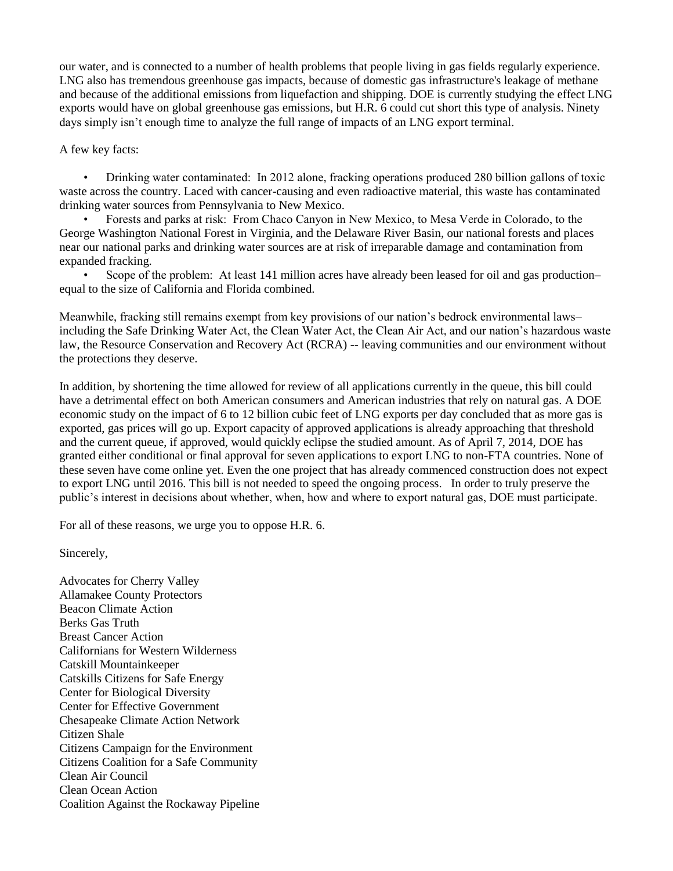our water, and is connected to a number of health problems that people living in gas fields regularly experience. LNG also has tremendous greenhouse gas impacts, because of domestic gas infrastructure's leakage of methane and because of the additional emissions from liquefaction and shipping. DOE is currently studying the effect LNG exports would have on global greenhouse gas emissions, but H.R. 6 could cut short this type of analysis. Ninety days simply isn't enough time to analyze the full range of impacts of an LNG export terminal.

A few key facts:

 • Drinking water contaminated: In 2012 alone, fracking operations produced 280 billion gallons of toxic waste across the country. Laced with cancer-causing and even radioactive material, this waste has contaminated drinking water sources from Pennsylvania to New Mexico.

 • Forests and parks at risk: From Chaco Canyon in New Mexico, to Mesa Verde in Colorado, to the George Washington National Forest in Virginia, and the Delaware River Basin, our national forests and places near our national parks and drinking water sources are at risk of irreparable damage and contamination from expanded fracking.

 • Scope of the problem: At least 141 million acres have already been leased for oil and gas production– equal to the size of California and Florida combined.

Meanwhile, fracking still remains exempt from key provisions of our nation's bedrock environmental laws– including the Safe Drinking Water Act, the Clean Water Act, the Clean Air Act, and our nation's hazardous waste law, the Resource Conservation and Recovery Act (RCRA) -- leaving communities and our environment without the protections they deserve.

In addition, by shortening the time allowed for review of all applications currently in the queue, this bill could have a detrimental effect on both American consumers and American industries that rely on natural gas. A DOE economic study on the impact of 6 to 12 billion cubic feet of LNG exports per day concluded that as more gas is exported, gas prices will go up. Export capacity of approved applications is already approaching that threshold and the current queue, if approved, would quickly eclipse the studied amount. As of April 7, 2014, DOE has granted either conditional or final approval for seven applications to export LNG to non-FTA countries. None of these seven have come online yet. Even the one project that has already commenced construction does not expect to export LNG until 2016. This bill is not needed to speed the ongoing process. In order to truly preserve the public's interest in decisions about whether, when, how and where to export natural gas, DOE must participate.

For all of these reasons, we urge you to oppose H.R. 6.

Sincerely,

Advocates for Cherry Valley Allamakee County Protectors Beacon Climate Action Berks Gas Truth Breast Cancer Action Californians for Western Wilderness Catskill Mountainkeeper Catskills Citizens for Safe Energy Center for Biological Diversity Center for Effective Government Chesapeake Climate Action Network Citizen Shale Citizens Campaign for the Environment Citizens Coalition for a Safe Community Clean Air Council Clean Ocean Action Coalition Against the Rockaway Pipeline